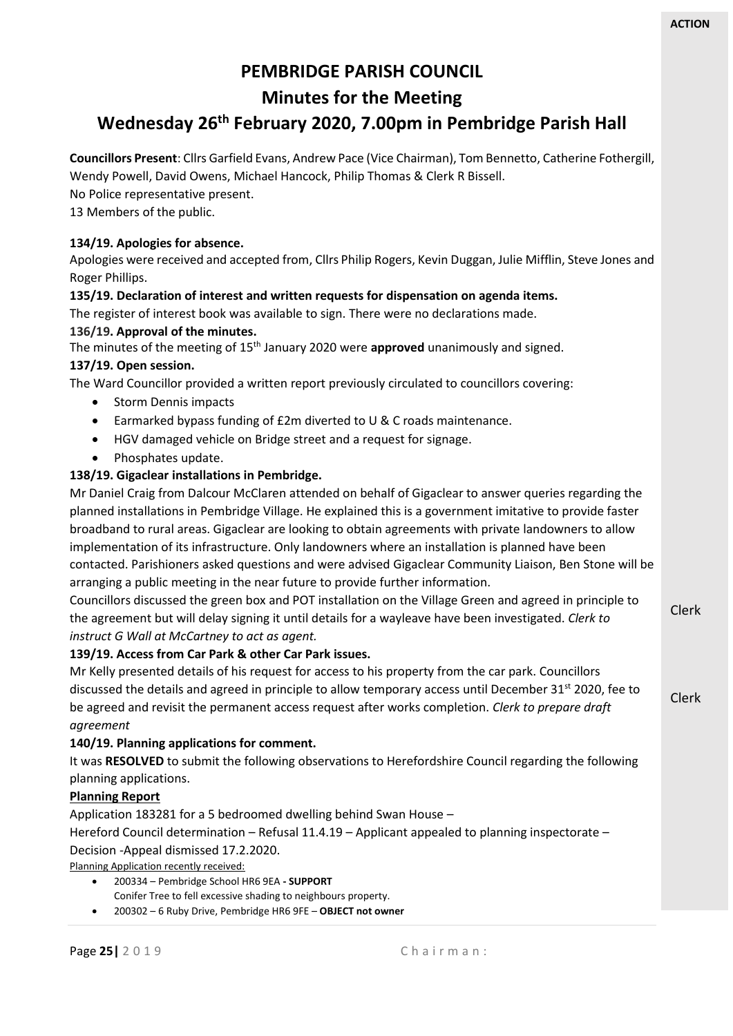Clerk

# **PEMBRIDGE PARISH COUNCIL**

## **Minutes for the Meeting**

# **Wednesday 26 th February 2020, 7.00pm in Pembridge Parish Hall**

**Councillors Present**: Cllrs Garfield Evans, Andrew Pace (Vice Chairman), Tom Bennetto, Catherine Fothergill, Wendy Powell, David Owens, Michael Hancock, Philip Thomas & Clerk R Bissell.

No Police representative present.

13 Members of the public.

## **134/19. Apologies for absence.**

Apologies were received and accepted from, Cllrs Philip Rogers, Kevin Duggan, Julie Mifflin, Steve Jones and Roger Phillips.

## **135/19. Declaration of interest and written requests for dispensation on agenda items.**

The register of interest book was available to sign. There were no declarations made.

## **136/19. Approval of the minutes.**

The minutes of the meeting of 15<sup>th</sup> January 2020 were **approved** unanimously and signed.

## **137/19. Open session.**

The Ward Councillor provided a written report previously circulated to councillors covering:

- Storm Dennis impacts
- Earmarked bypass funding of £2m diverted to U & C roads maintenance.
- HGV damaged vehicle on Bridge street and a request for signage.
- Phosphates update.

## **138/19. Gigaclear installations in Pembridge.**

Mr Daniel Craig from Dalcour McClaren attended on behalf of Gigaclear to answer queries regarding the planned installations in Pembridge Village. He explained this is a government imitative to provide faster broadband to rural areas. Gigaclear are looking to obtain agreements with private landowners to allow implementation of its infrastructure. Only landowners where an installation is planned have been contacted. Parishioners asked questions and were advised Gigaclear Community Liaison, Ben Stone will be arranging a public meeting in the near future to provide further information.

Clerk Councillors discussed the green box and POT installation on the Village Green and agreed in principle to the agreement but will delay signing it until details for a wayleave have been investigated. *Clerk to instruct G Wall at McCartney to act as agent.*

## **139/19. Access from Car Park & other Car Park issues.**

Mr Kelly presented details of his request for access to his property from the car park. Councillors discussed the details and agreed in principle to allow temporary access until December 31<sup>st</sup> 2020, fee to be agreed and revisit the permanent access request after works completion. *Clerk to prepare draft agreement*

#### **140/19. Planning applications for comment.**

It was **RESOLVED** to submit the following observations to Herefordshire Council regarding the following planning applications.

#### **Planning Report**

Application 183281 for a 5 bedroomed dwelling behind Swan House –

Hereford Council determination – Refusal 11.4.19 – Applicant appealed to planning inspectorate – Decision -Appeal dismissed 17.2.2020.

Planning Application recently received:

- 200334 Pembridge School HR6 9EA **- SUPPORT** Conifer Tree to fell excessive shading to neighbours property.
- 200302 6 Ruby Drive, Pembridge HR6 9FE **OBJECT not owner**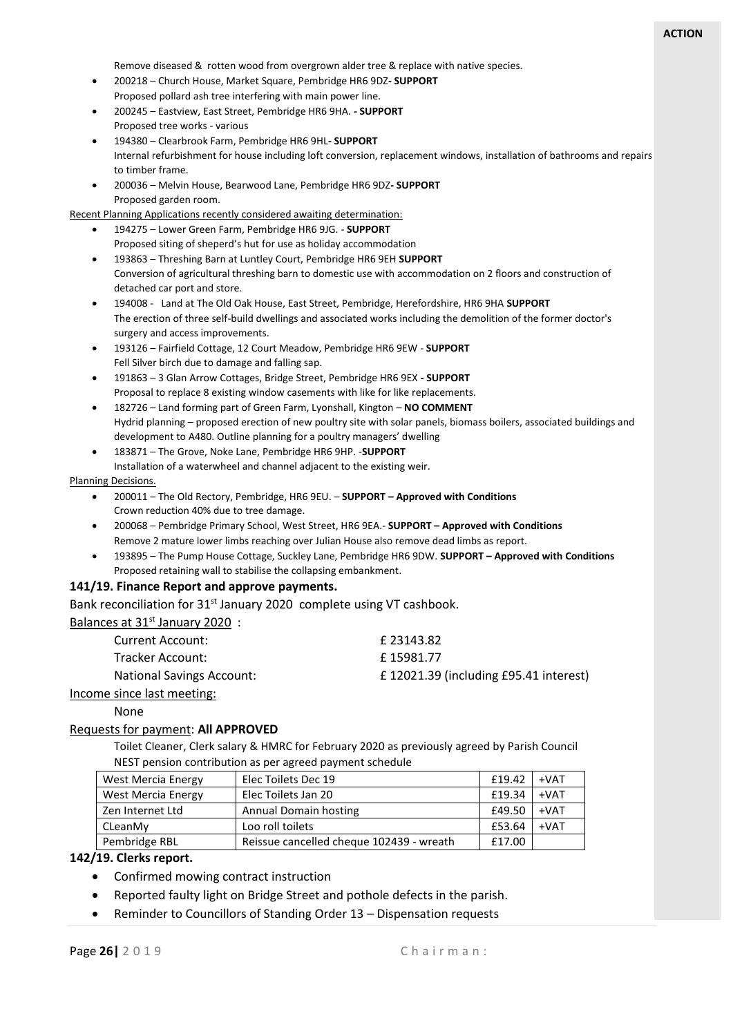Remove diseased & rotten wood from overgrown alder tree & replace with native species.

- 200218 Church House, Market Square, Pembridge HR6 9DZ**- SUPPORT** Proposed pollard ash tree interfering with main power line.
- 200245 Eastview, East Street, Pembridge HR6 9HA. **- SUPPORT** Proposed tree works - various
- 194380 Clearbrook Farm, Pembridge HR6 9HL**- SUPPORT** Internal refurbishment for house including loft conversion, replacement windows, installation of bathrooms and repairs to timber frame.
- 200036 Melvin House, Bearwood Lane, Pembridge HR6 9DZ**- SUPPORT** Proposed garden room.

Recent Planning Applications recently considered awaiting determination:

- 194275 Lower Green Farm, Pembridge HR6 9JG. **SUPPORT** Proposed siting of sheperd's hut for use as holiday accommodation
- 193863 Threshing Barn at Luntley Court, Pembridge HR6 9EH **SUPPORT** Conversion of agricultural threshing barn to domestic use with accommodation on 2 floors and construction of detached car port and store.
- 194008 Land at The Old Oak House, East Street, Pembridge, Herefordshire, HR6 9HA **SUPPORT** The erection of three self-build dwellings and associated works including the demolition of the former doctor's surgery and access improvements.
- 193126 Fairfield Cottage, 12 Court Meadow, Pembridge HR6 9EW **SUPPORT** Fell Silver birch due to damage and falling sap.
- 191863 3 Glan Arrow Cottages, Bridge Street, Pembridge HR6 9EX **- SUPPORT** Proposal to replace 8 existing window casements with like for like replacements.
- 182726 Land forming part of Green Farm, Lyonshall, Kington **NO COMMENT** Hydrid planning – proposed erection of new poultry site with solar panels, biomass boilers, associated buildings and development to A480. Outline planning for a poultry managers' dwelling
- 183871 The Grove, Noke Lane, Pembridge HR6 9HP. -**SUPPORT** Installation of a waterwheel and channel adjacent to the existing weir.

#### Planning Decisions.

- 200011 The Old Rectory, Pembridge, HR6 9EU. **SUPPORT – Approved with Conditions** Crown reduction 40% due to tree damage.
- 200068 Pembridge Primary School, West Street, HR6 9EA.- **SUPPORT – Approved with Conditions** Remove 2 mature lower limbs reaching over Julian House also remove dead limbs as report.
- 193895 The Pump House Cottage, Suckley Lane, Pembridge HR6 9DW. **SUPPORT – Approved with Conditions** Proposed retaining wall to stabilise the collapsing embankment.

#### **141/19. Finance Report and approve payments.**

Bank reconciliation for 31<sup>st</sup> January 2020 complete using VT cashbook.

| Balances at 31 <sup>st</sup> January 2020: |                                        |
|--------------------------------------------|----------------------------------------|
| Current Account:                           | £23143.82                              |
| Tracker Account:                           | £15981.77                              |
| <b>National Savings Account:</b>           | £ 12021.39 (including £95.41 interest) |
| Income since last meeting:                 |                                        |

None

#### Requests for payment: **All APPROVED**

Toilet Cleaner, Clerk salary & HMRC for February 2020 as previously agreed by Parish Council NEST pension contribution as per agreed payment schedule

| <b>West Mercia Energy</b> | Elec Toilets Dec 19                      | £19.42 | $+VAT$ |
|---------------------------|------------------------------------------|--------|--------|
| West Mercia Energy        | Elec Toilets Jan 20                      | £19.34 | $+VAT$ |
| Zen Internet Ltd          | Annual Domain hosting                    | £49.50 | $+VAT$ |
| CLeanMv                   | Loo roll toilets                         | £53.64 | $+VAT$ |
| Pembridge RBL             | Reissue cancelled cheque 102439 - wreath | £17.00 |        |

#### **142/19. Clerks report.**

- Confirmed mowing contract instruction
- Reported faulty light on Bridge Street and pothole defects in the parish.
- Reminder to Councillors of Standing Order 13 Dispensation requests